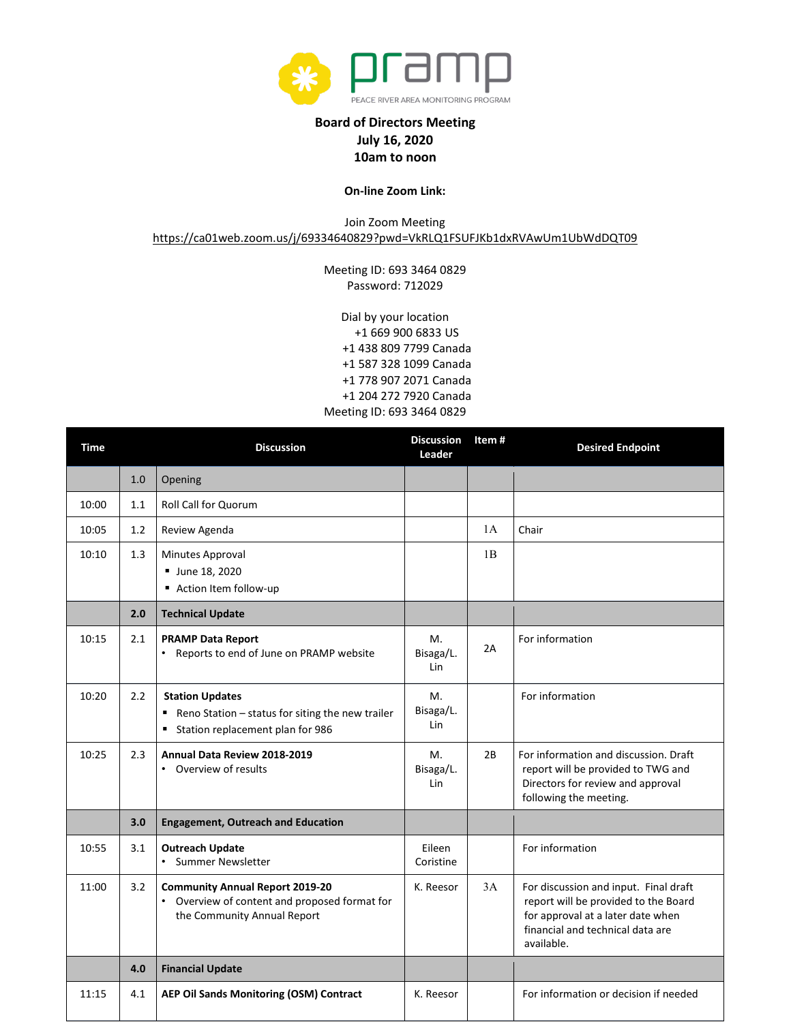

## **Board of Directors Meeting July 16, 2020 10am to noon**

## **On-line Zoom Link:**

Join Zoom Meeting

<https://ca01web.zoom.us/j/69334640829?pwd=VkRLQ1FSUFJKb1dxRVAwUm1UbWdDQT09>

Meeting ID: 693 3464 0829 Password: 712029

Dial by your location +1 669 900 6833 US +1 438 809 7799 Canada +1 587 328 1099 Canada +1 778 907 2071 Canada +1 204 272 7920 Canada Meeting ID: 693 3464 0829

| <b>Time</b> |     | <b>Discussion</b>                                                                                                      | <b>Discussion</b><br>Leader | Item # | <b>Desired Endpoint</b>                                                                                                                                              |
|-------------|-----|------------------------------------------------------------------------------------------------------------------------|-----------------------------|--------|----------------------------------------------------------------------------------------------------------------------------------------------------------------------|
|             | 1.0 | Opening                                                                                                                |                             |        |                                                                                                                                                                      |
| 10:00       | 1.1 | <b>Roll Call for Quorum</b>                                                                                            |                             |        |                                                                                                                                                                      |
| 10:05       | 1.2 | Review Agenda                                                                                                          |                             | 1A     | Chair                                                                                                                                                                |
| 10:10       | 1.3 | Minutes Approval<br><b>June 18, 2020</b><br>Action Item follow-up                                                      |                             | 1B     |                                                                                                                                                                      |
|             | 2.0 | <b>Technical Update</b>                                                                                                |                             |        |                                                                                                                                                                      |
| 10:15       | 2.1 | <b>PRAMP Data Report</b><br>• Reports to end of June on PRAMP website                                                  | М.<br>Bisaga/L.<br>Lin      | 2A     | For information                                                                                                                                                      |
| 10:20       | 2.2 | <b>Station Updates</b><br>■ Reno Station – status for siting the new trailer<br>Station replacement plan for 986       | М.<br>Bisaga/L.<br>Lin      |        | For information                                                                                                                                                      |
| 10:25       | 2.3 | Annual Data Review 2018-2019<br>• Overview of results                                                                  | М.<br>Bisaga/L.<br>Lin      | 2B     | For information and discussion. Draft<br>report will be provided to TWG and<br>Directors for review and approval<br>following the meeting.                           |
|             | 3.0 | <b>Engagement, Outreach and Education</b>                                                                              |                             |        |                                                                                                                                                                      |
| 10:55       | 3.1 | <b>Outreach Update</b><br>• Summer Newsletter                                                                          | Eileen<br>Coristine         |        | For information                                                                                                                                                      |
| 11:00       | 3.2 | <b>Community Annual Report 2019-20</b><br>• Overview of content and proposed format for<br>the Community Annual Report | K. Reesor                   | 3A     | For discussion and input. Final draft<br>report will be provided to the Board<br>for approval at a later date when<br>financial and technical data are<br>available. |
|             | 4.0 | <b>Financial Update</b>                                                                                                |                             |        |                                                                                                                                                                      |
| 11:15       | 4.1 | AEP Oil Sands Monitoring (OSM) Contract                                                                                | K. Reesor                   |        | For information or decision if needed                                                                                                                                |